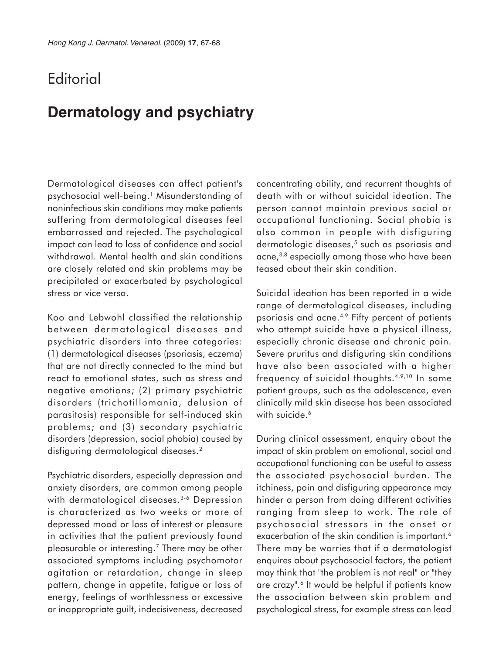## **Editorial**

## **Dermatology and psychiatry**

Dermatological diseases can affect patient's psychosocial well-being.1 Misunderstanding of noninfectious skin conditions may make patients suffering from dermatological diseases feel embarrassed and rejected. The psychological impact can lead to loss of confidence and social withdrawal. Mental health and skin conditions are closely related and skin problems may be precipitated or exacerbated by psychological stress or vice versa.

Koo and Lebwohl classified the relationship between dermatological diseases and psychiatric disorders into three categories: (1) dermatological diseases (psoriasis, eczema) that are not directly connected to the mind but react to emotional states, such as stress and negative emotions; (2) primary psychiatric disorders (trichotillomania, delusion of parasitosis) responsible for self-induced skin problems; and (3) secondary psychiatric disorders (depression, social phobia) caused by disfiguring dermatological diseases.<sup>2</sup>

Psychiatric disorders, especially depression and anxiety disorders, are common among people with dermatological diseases.<sup>3-6</sup> Depression is characterized as two weeks or more of depressed mood or loss of interest or pleasure in activities that the patient previously found pleasurable or interesting.7 There may be other associated symptoms including psychomotor agitation or retardation, change in sleep pattern, change in appetite, fatigue or loss of energy, feelings of worthlessness or excessive or inappropriate guilt, indecisiveness, decreased

concentrating ability, and recurrent thoughts of death with or without suicidal ideation. The person cannot maintain previous social or occupational functioning. Social phobia is also common in people with disfiguring dermatologic diseases,<sup>5</sup> such as psoriasis and acne,<sup>3,8</sup> especially among those who have been teased about their skin condition.

Suicidal ideation has been reported in a wide range of dermatological diseases, including psoriasis and acne.4,9 Fifty percent of patients who attempt suicide have a physical illness, especially chronic disease and chronic pain. Severe pruritus and disfiguring skin conditions have also been associated with a higher frequency of suicidal thoughts.4,9,10 In some patient groups, such as the adolescence, even clinically mild skin disease has been associated with suicide.<sup>6</sup>

During clinical assessment, enquiry about the impact of skin problem on emotional, social and occupational functioning can be useful to assess the associated psychosocial burden. The itchiness, pain and disfiguring appearance may hinder a person from doing different activities ranging from sleep to work. The role of psychosocial stressors in the onset or exacerbation of the skin condition is important.<sup>6</sup> There may be worries that if a dermatologist enquires about psychosocial factors, the patient may think that "the problem is not real" or "they are crazy".<sup>6</sup> It would be helpful if patients know the association between skin problem and psychological stress, for example stress can lead